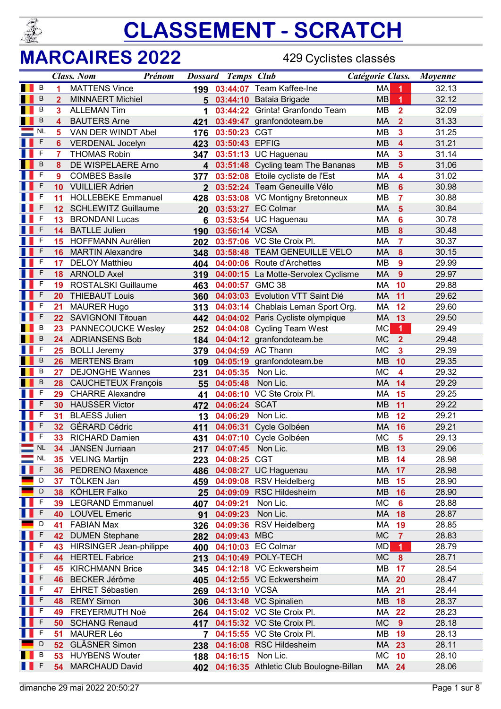

#### MARCAIRES 2022

429 Cyclistes classés

|   |              |                 | <b>Class. Nom</b>                         | Prénom                  |                | <b>Dossard Temps Club</b> |                                                        | Catégorie Class. |                         | Moyenne        |
|---|--------------|-----------------|-------------------------------------------|-------------------------|----------------|---------------------------|--------------------------------------------------------|------------------|-------------------------|----------------|
| ш | В            | 1               | <b>MATTENS Vince</b>                      |                         |                |                           | 199 03:44:07 Team Kaffee-Ine                           | <b>MA</b>        | 1                       | 32.13          |
|   | B            | $\overline{2}$  | <b>MINNAERT Michiel</b>                   |                         | 5              |                           | 03:44:10 Bataia Brigade                                | <b>MB</b>        | $\blacktriangleleft$    | 32.12          |
|   | В            | 3               | <b>ALLEMAN Tim</b>                        |                         | 1              |                           | 03:44:22 Grinta! Granfondo Team                        | MВ               | $\overline{2}$          | 32.09          |
|   | B            | 4               | <b>BAUTERS Arne</b>                       |                         | 421            |                           | 03:49:47 granfondoteam.be                              | MA               | $\overline{2}$          | 31.33          |
|   | <b>NL</b>    | 5               | VAN DER WINDT Abel                        |                         | 176            | 03:50:23 CGT              |                                                        | <b>MB</b>        | 3                       | 31.25          |
|   | F            | 6               | <b>VERDENAL Jocelyn</b>                   |                         |                | 423 03:50:43 EPFIG        |                                                        | <b>MB</b>        | 4                       | 31.21          |
|   | F            | $\overline{7}$  | <b>THOMAS Robin</b>                       |                         |                |                           | 347 03:51:13 UC Haguenau                               | MA               | 3                       | 31.14          |
|   | B            | 8               | DE WISPELAERE Arno                        |                         |                |                           | 4 03:51:48 Cycling team The Bananas                    | <b>MB</b>        | 5                       | 31.06          |
|   | F            | 9               | <b>COMBES Basile</b>                      |                         | 377            |                           | 03:52:08 Etoile cycliste de l'Est                      | MA               | 4                       | 31.02          |
|   | F            | 10              | <b>VUILLIER Adrien</b>                    |                         | $2^{\circ}$    |                           | 03:52:24 Team Geneuille Vélo                           | <b>MB</b>        | $6\phantom{1}6$         | 30.98          |
|   | F            | 11              | <b>HOLLEBEKE Emmanuel</b>                 |                         | 428            |                           | 03:53:08 VC Montigny Bretonneux                        | MB               | $\overline{7}$          | 30.88          |
|   | F            | 12              | <b>SCHLEWITZ Guillaume</b>                |                         |                |                           | 20 03:53:27 EC Colmar                                  | MA               | $5\phantom{1}$          | 30.84          |
|   | F            | 13              | <b>BRONDANI Lucas</b>                     |                         | 6              |                           | 03:53:54 UC Haguenau                                   | MA               | 6                       | 30.78          |
|   | F            | 14              | <b>BATLLE Julien</b>                      |                         | 190            | 03:56:14 VCSA             |                                                        | <b>MB</b>        | 8                       | 30.48          |
|   | F            | 15              | <b>HOFFMANN Aurélien</b>                  |                         |                |                           | 202 03:57:06 VC Ste Croix Pl.                          | MA               | $\overline{7}$          | 30.37          |
|   | F            | 16              | <b>MARTIN Alexandre</b>                   |                         | 348            |                           | 03:58:48 TEAM GENEUILLE VELO                           | <b>MA</b>        | 8                       | 30.15          |
|   | F            | 17              | <b>DELOY Matthieu</b>                     |                         | 404            |                           | 04:00:06 Route d'Archettes                             | <b>MB</b>        | 9                       | 29.99          |
|   | F            | 18              | <b>ARNOLD Axel</b>                        |                         | 319            |                           | 04:00:15 La Motte-Servolex Cyclisme                    | MA               | $\overline{9}$          | 29.97          |
|   | F            | 19              | <b>ROSTALSKI Guillaume</b>                |                         |                | 463 04:00:57 GMC 38       |                                                        | <b>MA</b>        | 10                      | 29.88          |
|   | F            | 20              | <b>THIEBAUT Louis</b>                     |                         |                |                           | 360 04:03:03 Evolution VTT Saint Dié                   | <b>MA</b>        | 11                      | 29.62          |
|   | F            | 21              | <b>MAURER Hugo</b>                        |                         |                |                           | 313 04:03:14 Chablais Leman Sport Org.                 | MA               | 12                      | 29.60          |
|   | F            | 22              | <b>SAVIGNONI Titouan</b>                  |                         |                |                           | 442 04:04:02 Paris Cycliste olympique                  | MA               | 13                      | 29.50          |
|   | B            | 23              |                                           | PANNECOUCKE Wesley      | 252            |                           | 04:04:08 Cycling Team West                             | <b>MC</b>        | 1                       | 29.49          |
|   | B            | 24              | <b>ADRIANSENS Bob</b>                     |                         |                |                           | 184 04:04:12 granfondoteam.be                          | <b>MC</b>        | $\overline{2}$          | 29.48          |
|   | F            | 25              | <b>BOLLI Jeremy</b>                       |                         |                |                           | 379 04:04:59 AC Thann                                  | <b>MC</b>        | 3                       | 29.39          |
|   | B            | 26              | <b>MERTENS Bram</b>                       |                         |                |                           | 109 04:05:19 granfondoteam.be                          | <b>MB</b>        | 10                      | 29.35          |
|   | B            | 27              | <b>DEJONGHE Wannes</b>                    |                         | 231            | 04:05:35 Non Lic.         |                                                        | <b>MC</b>        | $\overline{\mathbf{4}}$ | 29.32          |
|   | B            | 28              | <b>CAUCHETEUX François</b>                |                         |                | 55 04:05:48               | Non Lic.                                               | MA               | 14                      | 29.29          |
|   | F            | 29              | <b>CHARRE Alexandre</b>                   |                         | 41             |                           | 04:06:10 VC Ste Croix Pl.                              | MA               | 15                      | 29.25          |
|   | F            | 30              | <b>HAUSSER Victor</b>                     |                         | 472            | 04:06:24 SCAT             |                                                        | <b>MB</b>        | 11                      | 29.22          |
|   | F            | 31              | <b>BLAESS Julien</b>                      |                         | 13             | 04:06:29                  | Non Lic.                                               | MB               | 12                      | 29.21          |
|   | F            | 32 <sup>2</sup> | <b>GÉRARD Cédric</b>                      |                         | 411            |                           | 04:06:31 Cycle Golbéen                                 | MA               | 16                      | 29.21          |
|   | $\mathsf{F}$ | 33              | RICHARD Damien                            |                         |                |                           | 431 04:07:10 Cycle Golbéen                             | <b>MC</b>        | 5                       | 29.13          |
|   | $N_L$        |                 | 34 JANSEN Jurriaan                        |                         |                | 217 04:07:45 Non Lic.     |                                                        | MB 13            |                         | 29.06          |
|   | <b>NL</b>    | 35              | <b>VELING Martijn</b>                     |                         | 223            | 04:08:25                  | <b>CGT</b>                                             | MВ               | 14                      | 28.98          |
|   | F            | 36              | PEDRENO Maxence                           |                         | 486            | 04:08:27                  | <b>UC Haguenau</b>                                     | MA               | 17                      | 28.98          |
|   | D            | 37              | TÖLKEN Jan                                |                         | 459            |                           | 04:09:08 RSV Heidelberg                                | MВ               | 15                      | 28.90          |
|   | D            | 38              | KÖHLER Falko                              |                         | 25             | 04:09:09                  | <b>RSC Hildesheim</b>                                  | <b>MB</b>        | 16                      | 28.90          |
|   | F            | 39              | <b>LEGRAND Emmanuel</b>                   |                         | 407            | 04:09:21                  | Non Lic.                                               | <b>MC</b>        | $6\phantom{1}6$         | 28.88          |
|   | F            | 40              | <b>LOUVEL Emeric</b>                      |                         | 91             | 04:09:23                  | Non Lic.                                               | MA               | 18                      | 28.87          |
|   | D            | 41              | <b>FABIAN Max</b>                         |                         | 326            |                           | 04:09:36 RSV Heidelberg                                | MA               | 19                      | 28.85          |
|   | F<br>F       | 42              | <b>DUMEN Stephane</b>                     |                         | 282            | 04:09:43 MBC              |                                                        | <b>MC</b>        | $\overline{7}$          | 28.83          |
|   | F            | 43              |                                           | HIRSINGER Jean-philippe | 400            |                           | 04:10:03 EC Colmar                                     | MD               | 1                       | 28.79          |
|   | F            | 44              | <b>HERTEL Fabrice</b>                     |                         | 213            |                           | 04:10:49 POLY-TECH                                     | <b>MC</b><br>MB  | $\boldsymbol{8}$        | 28.71<br>28.54 |
|   |              | 45              | <b>KIRCHMANN Brice</b>                    |                         | 345            |                           | 04:12:18 VC Eckwersheim                                |                  | 17                      |                |
|   | F<br>F       | 46              | <b>BECKER Jérôme</b>                      |                         | 405            |                           | 04:12:55 VC Eckwersheim                                | MA               | 20                      | 28.47          |
|   | F            | 47              | <b>EHRET Sébastien</b>                    |                         | 269            | 04:13:10 VCSA             |                                                        | МA               | 21                      | 28.44          |
|   | F            | 48              | <b>REMY Simon</b>                         |                         | 306            |                           | 04:13:48 VC Spinalien                                  | <b>MB</b>        | 18                      | 28.37          |
|   | F            | 49              | FREYERMUTH Noé                            |                         | 264            |                           | 04:15:02 VC Ste Croix Pl.                              | МA               | 22                      | 28.23          |
|   | F            | 50<br>51        | <b>SCHANG Renaud</b><br><b>MAURER Léo</b> |                         | 417            |                           | 04:15:32 VC Ste Croix Pl.<br>04:15:55 VC Ste Croix Pl. | <b>MC</b><br>MВ  | 9                       | 28.18          |
|   | D            | 52              | <b>GLÄSNER Simon</b>                      |                         | $\overline{7}$ |                           | 04:16:08 RSC Hildesheim                                | MA               | 19<br>23                | 28.13<br>28.11 |
|   | B            |                 | <b>HUYBENS Wouter</b>                     |                         | 238            | 188 04:16:15              | Non Lic.                                               | МC               | 10                      | 28.10          |
|   | F            | 53<br>54        | <b>MARCHAUD David</b>                     |                         |                |                           | 04:16:35 Athletic Club Boulogne-Billan                 | MA 24            |                         | 28.06          |
|   |              |                 |                                           |                         | 402            |                           |                                                        |                  |                         |                |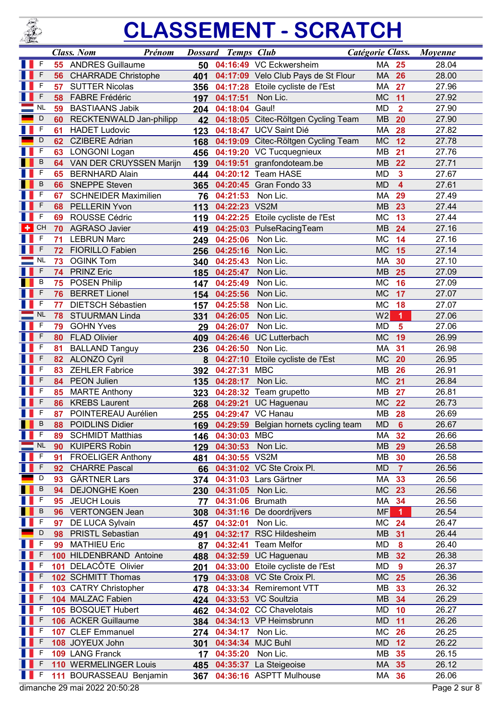

|   |           |    | <b>Class.</b> Nom<br>Prénom   |     | <b>Dossard Temps Club</b> |                                           | Catégorie Class. |                         | Movenne      |
|---|-----------|----|-------------------------------|-----|---------------------------|-------------------------------------------|------------------|-------------------------|--------------|
|   | F         | 55 | <b>ANDRES Guillaume</b>       | 50  |                           | 04:16:49 VC Eckwersheim                   | МA               | 25                      | 28.04        |
|   | F         | 56 | <b>CHARRADE Christophe</b>    | 401 |                           | 04:17:09 Velo Club Pays de St Flour       | MA               | 26                      | 28.00        |
|   | F         | 57 | <b>SUTTER Nicolas</b>         | 356 |                           | 04:17:28 Etoile cycliste de l'Est         | MA               | 27                      | 27.96        |
|   | F         | 58 | <b>FABRE Frédéric</b>         | 197 | 04:17:51                  | Non Lic.                                  | <b>MC</b>        | 11                      | 27.92        |
|   | <b>NL</b> | 59 | <b>BASTIAANS Jabik</b>        | 204 | 04:18:04                  | Gaul!                                     | <b>MD</b>        | $\overline{2}$          | 27.90        |
|   | D         | 60 | RECKTENWALD Jan-philipp       | 42  |                           | 04:18:05 Citec-Röltgen Cycling Team       | <b>MB</b>        | 20                      | 27.90        |
|   | F         | 61 | <b>HADET Ludovic</b>          | 123 |                           | 04:18:47 UCV Saint Dié                    | <b>MA</b>        | 28                      | 27.82        |
|   | D         | 62 | <b>CZIBERE Adrian</b>         | 168 | 04:19:09                  | Citec-Röltgen Cycling Team                | <b>MC</b>        | 12                      | 27.78        |
|   | F         | 63 | <b>LONGONI Logan</b>          | 456 |                           | 04:19:20 VC Tucquegnieux                  | <b>MB</b>        | 21                      | 27.76        |
|   | B         | 64 | VAN DER CRUYSSEN Marijn       | 139 |                           | 04:19:51 granfondoteam.be                 | <b>MB</b>        | 22                      | 27.71        |
|   | F         | 65 | <b>BERNHARD Alain</b>         | 444 |                           | 04:20:12 Team HASE                        | <b>MD</b>        | $\overline{\mathbf{3}}$ | 27.67        |
|   | B         | 66 | <b>SNEPPE Steven</b>          | 365 |                           | 04:20:45 Gran Fondo 33                    | <b>MD</b>        | $\overline{\mathbf{4}}$ | 27.61        |
|   | F         | 67 | <b>SCHNEIDER Maximilien</b>   | 76  | 04:21:53                  | Non Lic.                                  | <b>MA</b>        | 29                      | 27.49        |
|   | F         | 68 | <b>PELLERIN Yvon</b>          | 113 | 04:22:23                  | VS2M                                      | <b>MB</b>        | 23                      | 27.44        |
|   | F         | 69 | ROUSSE Cédric                 | 119 | 04:22:25                  | Etoile cycliste de l'Est                  | <b>MC</b>        | 13                      | 27.44        |
| ٠ | CH        | 70 | <b>AGRASO Javier</b>          | 419 | 04:25:03                  | PulseRacingTeam                           | <b>MB</b>        | 24                      | 27.16        |
|   | F         | 71 | <b>LEBRUN Marc</b>            | 249 | 04:25:06                  | Non Lic.                                  | <b>MC</b>        | 14                      | 27.16        |
|   | F         | 72 | FIORILLO Fabien               | 256 | 04:25:16                  | Non Lic.                                  | <b>MC</b>        | 15                      | 27.14        |
|   | <b>NL</b> | 73 | <b>OGINK Tom</b>              | 340 | 04:25:43                  | Non Lic.                                  | MA               | 30                      | 27.10        |
|   | F         | 74 | <b>PRINZ Eric</b>             | 185 | 04:25:47                  | Non Lic.                                  | <b>MB</b>        | 25                      | 27.09        |
|   | B         | 75 | <b>POSEN Philip</b>           | 147 | 04:25:49                  | Non Lic.                                  | МC               | 16                      | 27.09        |
|   | F         | 76 | <b>BERRET Lionel</b>          | 154 | 04:25:56                  | Non Lic.                                  | <b>MC</b>        | 17                      | 27.07        |
|   | F         | 77 | <b>DIETSCH Sébastien</b>      | 157 | 04:25:58                  | Non Lic.                                  | <b>MC</b>        | 18                      | 27.07        |
|   | <b>NL</b> | 78 | <b>STUURMAN Linda</b>         | 331 | 04:26:05                  | Non Lic.                                  | W <sub>2</sub>   | 1                       | 27.06        |
|   | F         | 79 | <b>GOHN Yves</b>              | 29  | 04:26:07                  | Non Lic.                                  | <b>MD</b>        | 5                       | 27.06        |
|   | F         | 80 | <b>FLAD Olivier</b>           | 409 | 04:26:46                  | <b>UC Lutterbach</b>                      | <b>MC</b>        | 19                      | 26.99        |
|   | F         | 81 | <b>BALLAND Tanguy</b>         | 236 | 04:26:50                  | Non Lic.                                  | MA               | 31                      | 26.98        |
|   | F         | 82 | <b>ALONZO Cyril</b>           | 8   | 04:27:10                  | Etoile cycliste de l'Est                  | <b>MC</b>        | 20                      | 26.95        |
|   | F         | 83 | <b>ZEHLER Fabrice</b>         | 392 | 04:27:31                  | <b>MBC</b>                                | <b>MB</b>        | 26                      | 26.91        |
|   | F         | 84 | PEON Julien                   | 135 | 04:28:17                  | Non Lic.                                  | <b>MC</b>        | 21                      | 26.84        |
|   | F         | 85 | <b>MARTE Anthony</b>          | 323 |                           | 04:28:32 Team grupetto                    | <b>MB</b>        | 27                      | 26.81        |
|   | F         | 86 | <b>KREBS Laurent</b>          | 268 | 04:29:21                  | <b>UC Haguenau</b>                        | <b>MC</b>        | 22                      | 26.73        |
|   | F         | 87 | POINTEREAU Aurélien           | 255 |                           | 04:29:47 VC Hanau                         | MB               | 28                      | 26.69        |
|   | B         | 88 | <b>POIDLINS Didier</b>        |     |                           | 169 04:29:59 Belgian hornets cycling team | <b>MD</b>        | $6\phantom{a}$          | 26.67        |
|   | F         | 89 | <b>SCHMIDT Matthias</b>       | 146 | 04:30:03                  | <b>MBC</b>                                | MA               | 32                      | 26.66        |
|   | <b>NL</b> | 90 | <b>KUIPERS Robin</b>          | 129 | 04:30:53                  | Non Lic.                                  | <b>MB</b>        | 29                      | 26.58        |
|   | F         | 91 | <b>FROELIGER Anthony</b>      | 481 | 04:30:55 VS2M             |                                           | MВ               | 30                      | 26.58        |
|   | F         | 92 | <b>CHARRE Pascal</b>          | 66  |                           | 04:31:02 VC Ste Croix Pl.                 | <b>MD</b>        | $\overline{7}$          | 26.56        |
|   | D         | 93 | <b>GÄRTNER Lars</b>           | 374 |                           | 04:31:03 Lars Gärtner                     | MA               | 33                      | 26.56        |
|   | В         | 94 | <b>DEJONGHE Koen</b>          | 230 | 04:31:05                  | Non Lic.                                  | <b>MC</b>        | 23                      | 26.56        |
|   | F         | 95 | <b>JEUCH Louis</b>            | 77  | 04:31:06                  | <b>Brumath</b>                            | MA               | 34                      | 26.56        |
|   | В         | 96 | <b>VERTONGEN Jean</b>         | 308 |                           | 04:31:16 De doordrijvers                  | <b>MF</b>        | $\blacktriangleleft$    | 26.54        |
|   | F         | 97 | DE LUCA Sylvain               | 457 | 04:32:01                  | Non Lic.                                  | МC               | 24                      | 26.47        |
|   | D         | 98 | <b>PRISTL Sebastian</b>       | 491 | 04:32:17                  | <b>RSC Hildesheim</b>                     | <b>MB</b>        | 31                      | 26.44        |
|   | F         | 99 | <b>MATHIEU Eric</b>           | 87  | 04:32:41                  | <b>Team Melfor</b>                        | <b>MD</b>        | $\bf{8}$                | 26.40        |
|   | F         |    | 100 HILDENBRAND Antoine       | 488 |                           | 04:32:59 UC Haguenau                      | MB               | 32                      | 26.38        |
|   | F         |    | 101 DELACÔTE Olivier          | 201 | 04:33:00                  | Etoile cycliste de l'Est                  | <b>MD</b>        | 9                       | 26.37        |
|   |           |    | 102 SCHMITT Thomas            | 179 |                           | 04:33:08 VC Ste Croix Pl.                 | <b>MC</b>        | 25                      | 26.36        |
|   | F         |    | 103 CATRY Christopher         | 478 |                           | 04:33:34 Remiremont VTT                   | MB               | 33                      | 26.32        |
|   | F         |    | 104 MALZAC Fabien             | 424 |                           | 04:33:53 VC Soultzia                      | MB               | 34                      | 26.29        |
|   | F         |    | 105 BOSQUET Hubert            | 462 |                           | 04:34:02 CC Chavelotais                   | MD               | 10                      | 26.27        |
|   |           |    | 106 ACKER Guillaume           | 384 |                           | 04:34:13 VP Heimsbrunn                    | <b>MD</b>        | 11                      | 26.26        |
|   | F         |    | 107 CLEF Emmanuel             | 274 | 04:34:17                  | Non Lic.                                  | МC               | 26                      | 26.25        |
|   |           |    | 108 JOYEUX John               | 301 | 04:34:34                  | <b>MJC Buhl</b>                           | <b>MD</b>        | 12                      | 26.22        |
|   | F         |    | 109 LANG Franck               | 17  | 04:35:20                  | Non Lic.                                  | MB               | 35                      | 26.15        |
|   | F         |    | 110 WERMELINGER Louis         | 485 |                           | 04:35:37 La Steigeoise                    | MA 35            |                         | 26.12        |
|   | F         |    | 111 BOURASSEAU Benjamin       | 367 |                           | 04:36:16 ASPTT Mulhouse                   | MA 36            |                         | 26.06        |
|   |           |    | dimanche 29 mai 2022 20:50:28 |     |                           |                                           |                  |                         | Page 2 sur 8 |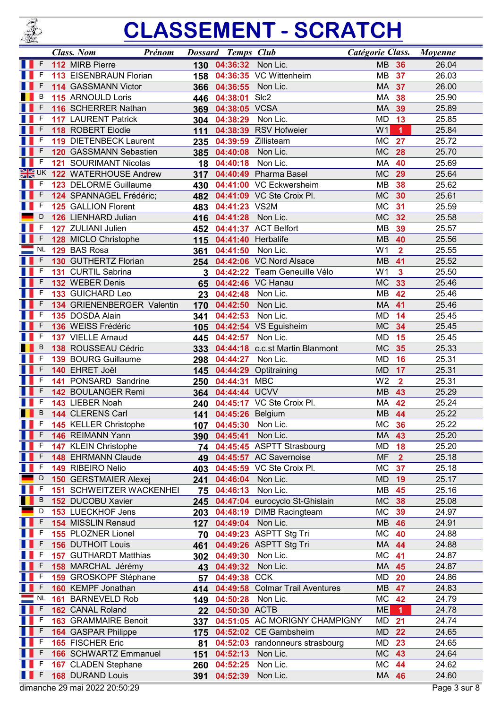

|   |                  | <b>Class. Nom</b> |                                 | Prénom |                 | <b>Dossard Temps Club</b> |                                 | Catégorie Class. |                         | <b>Moyenne</b> |
|---|------------------|-------------------|---------------------------------|--------|-----------------|---------------------------|---------------------------------|------------------|-------------------------|----------------|
|   | F                |                   | 112 MIRB Pierre                 |        | 130             | 04:36:32                  | Non Lic.                        | <b>MB</b>        | 36                      | 26.04          |
|   | F                |                   | 113 EISENBRAUN Florian          |        | 158             |                           | 04:36:35 VC Wittenheim          | <b>MB</b>        | 37                      | 26.03          |
|   |                  |                   | 114 GASSMANN Victor             |        | 366             | 04:36:55                  | Non Lic.                        | МA               | 37                      | 26.00          |
|   | В                |                   | 115 ARNOULD Loris               |        | 446             | 04:38:01                  | SIc <sub>2</sub>                | MA               | 38                      | 25.90          |
|   | F                |                   | 116 SCHERRER Nathan             |        | 369             | 04:38:05                  | <b>VCSA</b>                     | <b>MA</b>        | 39                      | 25.89          |
|   | F                |                   | <b>117 LAURENT Patrick</b>      |        |                 | 304 04:38:29              | Non Lic.                        | <b>MD</b>        | 13                      | 25.85          |
|   | F                |                   | 118 ROBERT Elodie               |        | 111             |                           | 04:38:39 RSV Hofweier           | W <sub>1</sub>   | $\overline{1}$          | 25.84          |
|   | F                |                   | 119 DIETENBECK Laurent          |        | 235             | 04:39:59                  | Zillisteam                      | <b>MC</b>        | 27                      | 25.72          |
|   | F                |                   | 120 GASSMANN Sebastien          |        | 385             | 04:40:08                  | Non Lic.                        | <b>MC</b>        | 28                      | 25.70          |
|   | F                |                   | 121 SOURIMANT Nicolas           |        | 18              | 04:40:18                  | Non Lic.                        | MA               | 40                      | 25.69          |
|   | $\frac{N}{2}$ UK |                   | 122 WATERHOUSE Andrew           |        | 317             |                           | 04:40:49 Pharma Basel           | <b>MC</b>        | 29                      | 25.64          |
|   | F                |                   | 123 DELORME Guillaume           |        | 430             |                           | 04:41:00 VC Eckwersheim         | MB               | 38                      | 25.62          |
|   | F                |                   | 124 SPANNAGEL Frédéric;         |        | 482             |                           | 04:41:09 VC Ste Croix Pl.       | <b>MC</b>        | 30                      | 25.61          |
|   | F                |                   | 125 GALLION Florent             |        | 483             | 04:41:23 VS2M             |                                 | <b>MC</b>        | 31                      | 25.59          |
|   | D                |                   | 126 LIENHARD Julian             |        | 416             | 04:41:28                  | Non Lic.                        | <b>MC</b>        | 32                      | 25.58          |
| Ш | F                |                   | 127 ZULIANI Julien              |        | 452             |                           | 04:41:37 ACT Belfort            | <b>MB</b>        | 39                      | 25.57          |
|   | F                |                   | 128 MICLO Christophe            |        | 115             | 04:41:40                  | Herbalife                       | <b>MB</b>        | 40                      | 25.56          |
|   | <b>NL</b>        |                   | 129 BAS Rosa                    |        | 361             | 04:41:50                  | Non Lic.                        | W <sub>1</sub>   | $\overline{2}$          | 25.55          |
|   | F                |                   | 130 GUTHERTZ Florian            |        | 254             |                           | 04:42:06 VC Nord Alsace         | <b>MB</b>        | 41                      | 25.52          |
|   | F                |                   | 131 CURTIL Sabrina              |        | 3               |                           | 04:42:22 Team Geneuille Vélo    | W <sub>1</sub>   | $\overline{\mathbf{3}}$ | 25.50          |
|   |                  |                   | 132 WEBER Denis                 |        | 65              |                           | 04:42:46 VC Hanau               | <b>MC</b>        | 33                      | 25.46          |
|   | F                |                   | 133 GUICHARD Leo                |        | 23              | 04:42:48                  | Non Lic.                        | <b>MB</b>        | 42                      | 25.46          |
|   | F                |                   | 134 GRIENENBERGER Valentin      |        | 170             | 04:42:50                  | Non Lic.                        | <b>MA</b>        | 41                      | 25.46          |
|   | F                |                   | 135 DOSDA Alain                 |        | 341             | 04:42:53                  | Non Lic.                        | <b>MD</b>        | 14                      | 25.45          |
|   | F                |                   | 136 WEISS Frédéric              |        | 105             |                           | 04:42:54 VS Eguisheim           | <b>MC</b>        | 34                      | 25.45          |
|   | F                |                   | 137 VIELLE Arnaud               |        | 445             | 04:42:57                  | Non Lic.                        | <b>MD</b>        | 15                      | 25.45          |
|   | B                |                   | 138 ROUSSEAU Cédric             |        | 333             |                           | 04:44:18 c.c.st Martin Blanmont | <b>MC</b>        | 35                      | 25.33          |
|   |                  |                   | 139 BOURG Guillaume             |        | 298             | 04:44:27                  | Non Lic.                        | MD               | 16                      | 25.31          |
|   | F                |                   | 140 EHRET Joël                  |        | 145             |                           | 04:44:29 Optitraining           | <b>MD</b>        | 17                      | 25.31          |
|   | F                |                   | 141 PONSARD Sandrine            |        | 250             | 04:44:31                  | <b>MBC</b>                      | W <sub>2</sub>   | $\overline{2}$          | 25.31          |
|   | F                |                   | 142 BOULANGER Remi              |        | 364             | 04:44:44 UCVV             |                                 | <b>MB</b>        | 43                      | 25.29          |
|   | F                |                   | 143 LIEBER Noah                 |        | 240             |                           | 04:45:17 VC Ste Croix Pl.       | <b>MA</b>        | 42                      | 25.24          |
|   | B                |                   | 144 CLERENS Carl                |        | 141             | 04:45:26 Belgium          |                                 | <b>MB</b>        | 44                      | 25.22          |
|   | -F               |                   | <b>145 KELLER Christophe</b>    |        | 107             | 04:45:30                  | Non Lic.                        | МC               | 36                      | 25.22          |
|   | F                |                   | 146 REIMANN Yann                |        | <b>390</b>      | 04:45:41                  | Non Lic.                        | MA 43            |                         | 25.20          |
|   | F                |                   | 147 KLEIN Christophe            |        | 74              |                           | 04:45:45 ASPTT Strasbourg       | MD               | 18                      | 25.20          |
|   | F                |                   | <b>148 EHRMANN Claude</b>       |        | 49              |                           | 04:45:57 AC Savernoise          | <b>MF</b>        | $\overline{2}$          | 25.18          |
|   | F                |                   | 149 RIBEIRO Nelio               |        | 403             |                           | 04:45:59 VC Ste Croix Pl.       | МC               | 37                      | 25.18          |
|   | D                |                   | <b>150 GERSTMAIER Alexej</b>    |        | 241             | 04:46:04                  | Non Lic.                        | <b>MD</b>        | 19                      | 25.17          |
|   | F                |                   | <b>151 SCHWEITZER WACKENHEI</b> |        | 75              | 04:46:13                  | Non Lic.                        | MВ               | 45                      | 25.16          |
|   | В                |                   | 152 DUCOBU Xavier               |        | 245             |                           | 04:47:04 eurocyclo St-Ghislain  | <b>MC</b>        | 38                      | 25.08          |
|   | D                |                   | 153 LUECKHOF Jens               |        | 203             |                           | 04:48:19 DIMB Racingteam        | МC               | 39                      | 24.97          |
|   | F                |                   | 154 MISSLIN Renaud              |        | 127             | 04:49:04                  | Non Lic.                        | MB               | 46                      | 24.91          |
|   | F                |                   | 155 PLOZNER Lionel              |        | 70              |                           | 04:49:23 ASPTT Stg Tri          | <b>MC</b>        | 40                      | 24.88          |
|   | F                |                   | <b>156 DUTHOIT Louis</b>        |        | 461             |                           | 04:49:26 ASPTT Stg Tri          | MA               | 44                      | 24.88          |
|   | F                |                   | 157 GUTHARDT Matthias           |        | 302             | 04:49:30                  | Non Lic.                        | МC               | 41                      | 24.87          |
|   |                  |                   | 158 MARCHAL Jérémy              |        | 43              | 04:49:32                  | Non Lic.                        | MA 45            |                         | 24.87          |
|   | F                |                   | 159 GROSKOPF Stéphane           |        | 57              | 04:49:38                  | <b>CCK</b>                      | MD               | 20                      | 24.86          |
|   | F                |                   | 160 KEMPF Jonathan              |        | 414             | 04:49:58                  | <b>Colmar Trail Aventures</b>   | MB               | 47                      | 24.83          |
|   | <b>NL</b>        |                   | 161 BARNEVELD Rob               |        | 149             | 04:50:28                  | Non Lic.                        | МC               | 42                      | 24.79          |
|   | F                |                   | 162 CANAL Roland                |        | 22 <sub>2</sub> | 04:50:30 ACTB             |                                 | <b>ME</b>        | 1                       | 24.78          |
|   | F                |                   | <b>163 GRAMMAIRE Benoit</b>     |        | 337             |                           | 04:51:05 AC MORIGNY CHAMPIGNY   | MD               | 21                      | 24.74          |
|   |                  |                   | <b>164 GASPAR Philippe</b>      |        | 175             |                           | 04:52:02 CE Gambsheim           | MD               | 22                      | 24.65          |
|   | F                |                   | 165 FISCHER Eric                |        | 81              |                           | 04:52:03 randonneurs strasbourg | MD               | 23                      | 24.65          |
|   | F                |                   | <b>166 SCHWARTZ Emmanuel</b>    |        | 151             | 04:52:13 Non Lic.         |                                 | <b>MC</b>        | 43                      | 24.64          |
|   | F                |                   | 167 CLADEN Stephane             |        | 260             | 04:52:25                  | Non Lic.                        | МC               | 44                      | 24.62          |
|   | F                |                   | <b>168 DURAND Louis</b>         |        | 391             | 04:52:39                  | Non Lic.                        | <b>MA 46</b>     |                         | 24.60          |
|   |                  |                   |                                 |        |                 |                           |                                 |                  |                         |                |
|   |                  |                   | dimanche 29 mai 2022 20:50:29   |        |                 |                           |                                 |                  |                         | Page 3 sur 8   |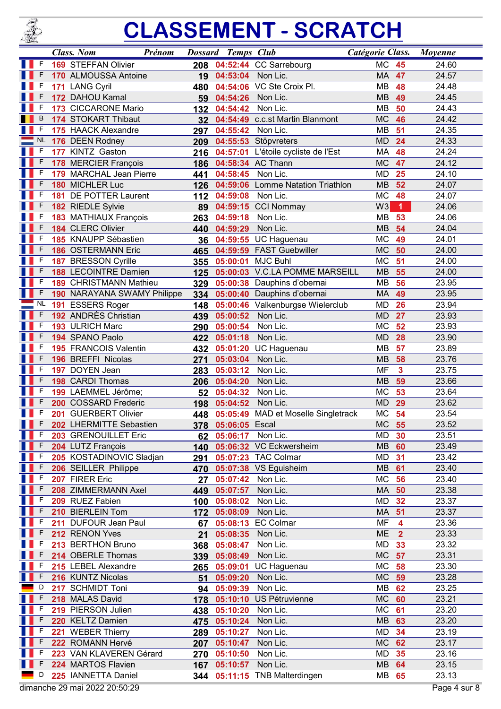

|     |           | <b>Class. Nom</b>                               | Prénom                      |           | <b>Dossard Temps Club</b>               |                                     | Catégorie Class.       |                         | <b>Moyenne</b> |
|-----|-----------|-------------------------------------------------|-----------------------------|-----------|-----------------------------------------|-------------------------------------|------------------------|-------------------------|----------------|
|     | F         | <b>169 STEFFAN Olivier</b>                      |                             | 208       |                                         | 04:52:44 CC Sarrebourg              | <b>MC</b>              | 45                      | 24.60          |
|     |           | 170 ALMOUSSA Antoine                            |                             | 19        | 04:53:04                                | Non Lic.                            | MA                     | 47                      | 24.57          |
|     | F         | 171 LANG Cyril                                  |                             | 480       | 04:54:06                                | VC Ste Croix Pl.                    | <b>MB</b>              | 48                      | 24.48          |
|     | F         | 172 DAHOU Kamal                                 |                             | 59        | 04:54:26                                | Non Lic.                            | <b>MB</b>              | 49                      | 24.45          |
|     | F         | 173 CICCARONE Mario                             |                             | 132       | 04:54:42                                | Non Lic.                            | MB                     | 50                      | 24.43          |
|     | B         | 174 STOKART Thibaut                             |                             | 32        |                                         | 04:54:49 c.c.st Martin Blanmont     | <b>MC</b>              | 46                      | 24.42          |
|     | F         | 175 HAACK Alexandre                             |                             | 297       | 04:55:42                                | Non Lic.                            | <b>MB</b>              | 51                      | 24.35          |
|     | <b>NL</b> | 176 DEEN Rodney                                 |                             | 209       |                                         | 04:55:53 Stöpvreters                | <b>MD</b>              | 24                      | 24.33          |
|     | F         | 177 KINTZ Gaston                                |                             | 216       | 04:57:01                                | L'étoile cycliste de l'Est          | MA                     | 48                      | 24.24          |
|     | F         | 178 MERCIER François                            |                             | 186       |                                         | 04:58:34 AC Thann                   | <b>MC</b>              | 47                      | 24.12          |
|     | F         | 179 MARCHAL Jean Pierre                         |                             | 441       | 04:58:45                                | Non Lic.                            | <b>MD</b>              | 25                      | 24.10          |
|     | F         | 180 MICHLER Luc                                 |                             | 126       |                                         | 04:59:06 Lomme Natation Triathlon   | <b>MB</b>              | 52                      | 24.07          |
|     | F         | 181 DE POTTER Laurent                           |                             | 112       | 04:59:08                                | Non Lic.                            | <b>MC</b>              | 48                      | 24.07          |
|     | F         | 182 RIEDLE Sylvie                               |                             | 89        | 04:59:15                                | <b>CCI Nommay</b>                   | W <sub>3</sub>         | 1                       | 24.06          |
|     | F         | 183 MATHIAUX François                           |                             | 263       | 04:59:18                                | Non Lic.                            | <b>MB</b>              | 53                      | 24.06          |
|     | F         | 184 CLERC Olivier                               |                             | 440       | 04:59:29                                | Non Lic.                            | <b>MB</b>              | 54                      | 24.04          |
|     | F         | 185 KNAUPP Sébastien                            |                             | 36        | 04:59:55                                | UC Haguenau                         | <b>MC</b>              | 49                      | 24.01          |
|     | F         | <b>186 OSTERMANN Eric</b>                       |                             | 465       |                                         | 04:59:59 FAST Guebwiller            | <b>MC</b>              | 50                      | 24.00          |
|     | F         | 187 BRESSON Cyrille                             |                             | 355       | 05:00:01                                | <b>MJC Buhl</b>                     | <b>MC</b>              | 51                      | 24.00          |
|     | F         | <b>188 LECOINTRE Damien</b>                     |                             | 125       | 05:00:03                                | <b>V.C.LA POMME MARSEILL</b>        | <b>MB</b>              | 55                      | 24.00          |
|     | F         | <b>189 CHRISTMANN Mathieu</b>                   |                             | 329       |                                         | 05:00:38 Dauphins d'obernai         | <b>MB</b>              | 56                      | 23.95          |
|     | F         |                                                 | 190 NARAYANA SWAMY Philippe | 334       | 05:00:40                                | Dauphins d'obernai                  | <b>MA</b>              | 49                      | 23.95          |
|     | <b>NL</b> | 191 ESSERS Roger                                |                             | 148       |                                         | 05:00:46 Valkenburgse Wielerclub    | <b>MD</b>              | 26                      | 23.94          |
|     | F         | 192 ANDRÈS Christian                            |                             | 439       | 05:00:52                                | Non Lic.                            | <b>MD</b>              | 27                      | 23.93          |
|     | F         | 193 ULRICH Marc                                 |                             | 290       | 05:00:54                                | Non Lic.                            | <b>MC</b>              | 52                      | 23.93          |
|     |           | 194 SPANO Paolo                                 |                             | 422       | 05:01:18                                | Non Lic.                            | <b>MD</b>              | 28                      | 23.90          |
|     |           | 195 FRANCOIS Valentin                           |                             | 432       | 05:01:20                                | <b>UC Haguenau</b>                  | MB                     | 57                      | 23.89          |
|     |           | 196 BREFFI Nicolas                              |                             | 271       | 05:03:04                                | Non Lic.                            | <b>MB</b>              | 58                      | 23.76          |
|     | F         | 197 DOYEN Jean                                  |                             | 283       | 05:03:12                                | Non Lic.                            | <b>MF</b>              | $\overline{\mathbf{3}}$ | 23.75          |
|     | F<br>F    | 198 CARDI Thomas                                |                             | 206       | 05:04:20                                | Non Lic.                            | <b>MB</b>              | 59                      | 23.66          |
|     |           | 199 LAEMMEL Jérôme;                             |                             | 52        | 05:04:32                                | Non Lic.                            | <b>MC</b>              | 53                      | 23.64          |
|     | F         | 200 COSSARD Frederic                            |                             | 198       | 05:04:52                                | Non Lic.                            | <b>MD</b><br><b>MC</b> | 29<br>54                | 23.62          |
|     | F         | 201 GUERBERT Olivier                            |                             | 448       |                                         | 05:05:49 MAD et Moselle Singletrack |                        |                         | 23.54          |
| n B | F         | 202 LHERMITTE Sebastien<br>203 GRENOUILLET Eric |                             |           | 378 05:06:05 Escal<br>05:06:17 Non Lic. |                                     | MC 55<br>MD            | 30                      | 23.52<br>23.51 |
|     | F         |                                                 |                             | 62        |                                         | 05:06:32 VC Eckwersheim             | MB                     | 60                      | 23.49          |
|     | F         | 204 LUTZ François                               | 205 KOSTADINOVIC Sladjan    | 140       |                                         | 05:07:23 TAC Colmar                 | MD                     | 31                      | 23.42          |
|     | F         | 206 SEILLER Philippe                            |                             | 291       |                                         | 05:07:38 VS Eguisheim               | <b>MB</b>              | 61                      | 23.40          |
|     | F         | 207 FIRER Eric                                  |                             | 470<br>27 | 05:07:42                                | Non Lic.                            | МC                     | 56                      | 23.40          |
|     |           | 208 ZIMMERMANN Axel                             |                             | 449       | 05:07:57                                | Non Lic.                            | <b>MA</b>              | 50                      | 23.38          |
|     |           | 209 RUEZ Fabien                                 |                             | 100       | 05:08:02                                | Non Lic.                            | MD                     | 32                      | 23.37          |
|     | F         | 210 BIERLEIN Tom                                |                             | 172       | 05:08:09                                | Non Lic.                            | MA                     | 51                      | 23.37          |
|     | F         | 211 DUFOUR Jean Paul                            |                             | 67        |                                         | 05:08:13 EC Colmar                  | MF                     | $\overline{\mathbf{4}}$ | 23.36          |
|     | F         | 212 RENON Yves                                  |                             | 21        | 05:08:35                                | Non Lic.                            | <b>ME</b>              | $\overline{2}$          | 23.33          |
|     | F         | 213 BERTHON Bruno                               |                             | 368       | 05:08:47                                | Non Lic.                            | MD                     | 33                      | 23.32          |
|     |           | 214 OBERLE Thomas                               |                             | 339       | 05:08:49                                | Non Lic.                            | <b>MC</b>              | 57                      | 23.31          |
|     | F         | 215 LEBEL Alexandre                             |                             | 265       | 05:09:01                                | <b>UC Haguenau</b>                  | МC                     | 58                      | 23.30          |
|     | F         | 216 KUNTZ Nicolas                               |                             | 51        | 05:09:20                                | Non Lic.                            | <b>MC</b>              | 59                      | 23.28          |
|     | D         | 217 SCHMIDT Toni                                |                             | 94        | 05:09:39                                | Non Lic.                            | MВ                     | 62                      | 23.25          |
|     | F         | 218 MALAS David                                 |                             | 178       | 05:10:10                                | <b>US Pétruvienne</b>               | <b>MC</b>              | 60                      | 23.21          |
|     | F         | 219 PIERSON Julien                              |                             | 438       | 05:10:20                                | Non Lic.                            | МC                     | 61                      | 23.20          |
|     |           | 220 KELTZ Damien                                |                             | 475       | 05:10:24                                | Non Lic.                            | <b>MB</b>              | 63                      | 23.20          |
|     | F         | 221 WEBER Thierry                               |                             | 289       | 05:10:27                                | Non Lic.                            | MD                     | 34                      | 23.19          |
|     | F         | 222 ROMANN Hervé                                |                             | 207       | 05:10:47                                | Non Lic.                            | <b>MC</b>              | 62                      | 23.17          |
|     | F         |                                                 | 223 VAN KLAVEREN Gérard     | 270       | 05:10:50                                | Non Lic.                            | MD                     | 35                      | 23.16          |
|     | F         | 224 MARTOS Flavien                              |                             | 167       | 05:10:57                                | Non Lic.                            | <b>MB</b>              | 64                      | 23.15          |
|     | D         | 225 IANNETTA Daniel                             |                             |           |                                         | 344 05:11:15 TNB Malterdingen       | MB 65                  |                         | 23.13          |
|     |           | dimanche 29 mai 2022 20:50:29                   |                             |           |                                         |                                     |                        |                         | Page 4 sur 8   |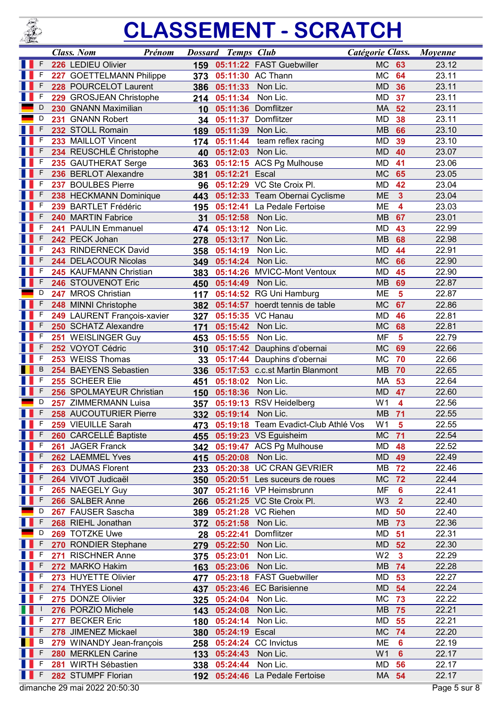

|    |        | <b>Class.</b> Nom | Prénom                                         |            | <b>Dossard Temps Club</b> |                                          | Catégorie Class.            |                         | Moyenne        |
|----|--------|-------------------|------------------------------------------------|------------|---------------------------|------------------------------------------|-----------------------------|-------------------------|----------------|
|    |        |                   | 226 LEDIEU Olivier                             | 159        |                           | 05:11:22 FAST Guebwiller                 | <b>MC</b>                   | 63                      | 23.12          |
|    | F      |                   | 227 GOETTELMANN Philippe                       | 373        |                           | 05:11:30 AC Thann                        | <b>MC</b>                   | 64                      | 23.11          |
|    | F      |                   | 228 POURCELOT Laurent                          | 386        | 05:11:33                  | Non Lic.                                 | <b>MD</b>                   | 36                      | 23.11          |
|    | F      |                   | 229 GROSJEAN Christophe                        | 214        | 05:11:34                  | Non Lic.                                 | MD                          | 37                      | 23.11          |
|    | D      |                   | 230 GNANN Maximilian                           | 10         |                           | 05:11:36 Domflitzer                      | <b>MA</b>                   | 52                      | 23.11          |
|    | D      |                   | 231 GNANN Robert                               | 34         | 05:11:37                  | Domflitzer                               | <b>MD</b>                   | 38                      | 23.11          |
|    | F      |                   | 232 STOLL Romain                               | 189        | 05:11:39                  | Non Lic.                                 | <b>MB</b>                   | 66                      | 23.10          |
|    | F      |                   | 233 MAILLOT Vincent                            | 174        |                           | 05:11:44 team reflex racing              | <b>MD</b>                   | 39                      | 23.10          |
|    | F      |                   | 234 REUSCHLÉ Christophe                        | 40         | 05:12:03 Non Lic.         |                                          | <b>MD</b>                   | 40                      | 23.07          |
|    | F      |                   | 235 GAUTHERAT Serge                            | 363        |                           | 05:12:15 ACS Pg Mulhouse                 | MD                          | 41                      | 23.06          |
|    | F      |                   | 236 BERLOT Alexandre                           | 381        | 05:12:21                  | Escal                                    | <b>MC</b>                   | 65                      | 23.05          |
|    | F      |                   | 237 BOULBES Pierre                             | 96         |                           | 05:12:29 VC Ste Croix Pl.                | <b>MD</b>                   | 42                      | 23.04          |
|    | F      |                   | 238 HECKMANN Dominique                         | 443        |                           | 05:12:33 Team Obernai Cyclisme           | <b>ME</b>                   | $\overline{\mathbf{3}}$ | 23.04          |
|    |        |                   | 239 BARTLET Frédéric<br>240 MARTIN Fabrice     | 195        | 05:12:41<br>05:12:58      | La Pedale Fertoise<br>Non Lic.           | ME<br><b>MB</b>             | 4<br>67                 | 23.03<br>23.01 |
|    | F      |                   | 241 PAULIN Emmanuel                            | 31         | 05:13:12                  | Non Lic.                                 | <b>MD</b>                   | 43                      | 22.99          |
|    | F      |                   | 242 PECK Johan                                 | 474<br>278 | 05:13:17                  | Non Lic.                                 | <b>MB</b>                   | 68                      | 22.98          |
|    | F      |                   | 243 RINDERNECK David                           | 358        | 05:14:19                  | Non Lic.                                 | <b>MD</b>                   | 44                      | 22.91          |
|    |        |                   | 244 DELACOUR Nicolas                           | 349        | 05:14:24                  | Non Lic.                                 | <b>MC</b>                   | 66                      | 22.90          |
|    | F      |                   | 245 KAUFMANN Christian                         | 383        |                           | 05:14:26 MVICC-Mont Ventoux              | <b>MD</b>                   | 45                      | 22.90          |
|    | F      |                   | 246 STOUVENOT Eric                             | 450        | 05:14:49                  | Non Lic.                                 | <b>MB</b>                   | 69                      | 22.87          |
|    | D      |                   | 247 MROS Christian                             | 117        | 05:14:52                  | RG Uni Hamburg                           | <b>ME</b>                   | $\overline{\mathbf{5}}$ | 22.87          |
|    | F      |                   | 248 MINNI Christophe                           | 382        | 05:14:57                  | hoerdt tennis de table                   | <b>MC</b>                   | 67                      | 22.86          |
|    | F      |                   | 249 LAURENT François-xavier                    | 327        |                           | 05:15:35 VC Hanau                        | <b>MD</b>                   | 46                      | 22.81          |
|    | F      |                   | 250 SCHATZ Alexandre                           | 171        | 05:15:42                  | Non Lic.                                 | <b>MC</b>                   | 68                      | 22.81          |
|    | F      |                   | 251 WEISLINGER Guy                             | 453        | 05:15:55                  | Non Lic.                                 | MF                          | $5\phantom{1}$          | 22.79          |
|    | F      |                   | 252 VOYOT Cédric                               | 310        |                           | 05:17:42 Dauphins d'obernai              | <b>MC</b>                   | 69                      | 22.66          |
|    | F      |                   | 253 WEISS Thomas                               | 33         | 05:17:44                  | Dauphins d'obernai                       | <b>MC</b>                   | 70                      | 22.66          |
|    | B      |                   | 254 BAEYENS Sebastien                          | 336        |                           | 05:17:53 c.c.st Martin Blanmont          | <b>MB</b>                   | 70                      | 22.65          |
|    | F<br>F |                   | 255 SCHEER Elie                                | 451        | 05:18:02                  | Non Lic.                                 | MA                          | 53                      | 22.64          |
|    | D      |                   | 256 SPOLMAYEUR Christian                       | 150        | 05:18:36                  | Non Lic.                                 | <b>MD</b>                   | 47                      | 22.60          |
|    | F      |                   | 257 ZIMMERMANN Luisa<br>258 AUCOUTURIER Pierre | 357        | 05:19:14 Non Lic.         | 05:19:13 RSV Heidelberg                  | W <sub>1</sub><br><b>MB</b> | 4<br>71                 | 22.56<br>22.55 |
| H. | F      |                   | 259 VIEUILLE Sarah                             | 332        |                           | 473 05:19:18 Team Evadict-Club Athlé Vos | W <sub>1</sub>              | $\overline{\mathbf{5}}$ | 22.55          |
|    | F      |                   | 260 CARCELLÉ Baptiste                          | 455        |                           | 05:19:23 VS Eguisheim                    | <b>MC</b>                   | 71                      | 22.54          |
|    | F      |                   | 261 JAGER Franck                               | 342        |                           | 05:19:47 ACS Pg Mulhouse                 | MD                          | 48                      | 22.52          |
|    | F      |                   | 262 LAEMMEL Yves                               | 415        | 05:20:08 Non Lic.         |                                          | <b>MD</b>                   | 49                      | 22.49          |
|    |        |                   | 263 DUMAS Florent                              | 233        |                           | 05:20:38 UC CRAN GEVRIER                 | MB                          | 72                      | 22.46          |
|    | F      |                   | 264 VIVOT Judicaël                             | 350        |                           | 05:20:51 Les suceurs de roues            | <b>MC</b>                   | 72                      | 22.44          |
|    | F      |                   | 265 NAEGELY Guy                                | 307        |                           | 05:21:16 VP Heimsbrunn                   | MF                          | 6                       | 22.41          |
|    | F      |                   | 266 SALBER Anne                                | 266        |                           | 05:21:25 VC Ste Croix Pl.                | W <sub>3</sub>              | $\overline{2}$          | 22.40          |
|    | D      |                   | 267 FAUSER Sascha                              | 389        |                           | 05:21:28 VC Riehen                       | MD                          | 50                      | 22.40          |
|    | F      |                   | 268 RIEHL Jonathan                             | 372        | 05:21:58                  | Non Lic.                                 | <b>MB</b>                   | 73                      | 22.36          |
|    | D      |                   | 269 TOTZKE Uwe                                 | 28         | 05:22:41                  | Domflitzer                               | MD                          | 51                      | 22.31          |
|    | F      |                   | 270 RONDIER Stephane                           | 279        | 05:22:50                  | Non Lic.                                 | <b>MD</b>                   | 52                      | 22.30          |
|    |        |                   | 271 RISCHNER Anne                              | 375        | 05:23:01                  | Non Lic.                                 | W <sub>2</sub>              | $\overline{\mathbf{3}}$ | 22.29          |
|    | F      |                   | 272 MARKO Hakim                                | 163        | 05:23:06                  | Non Lic.                                 | <b>MB</b>                   | 74                      | 22.28          |
|    | F<br>F |                   | 273 HUYETTE Olivier                            | 477        |                           | 05:23:18 FAST Guebwiller                 | MD                          | 53                      | 22.27          |
|    | F      |                   | 274 THYES Lionel<br>275 DONZE Olivier          | 437        |                           | 05:23:46 EC Barisienne<br>Non Lic.       | <b>MD</b><br>МC             | 54<br>73                | 22.24<br>22.22 |
|    |        |                   | 276 PORZIO Michele                             | 325<br>143 | 05:24:04<br>05:24:08      | Non Lic.                                 | MB                          | 75                      | 22.21          |
|    | F      |                   | 277 BECKER Eric                                | 180        | 05:24:14                  | Non Lic.                                 | MD                          | 55                      | 22.21          |
|    | F      |                   | 278 JIMENEZ Mickael                            | 380        | 05:24:19                  | Escal                                    | <b>MC</b>                   | 74                      | 22.20          |
|    | B      |                   | 279 WINANDY Jean-françois                      | 258        |                           | 05:24:24 CC Invictus                     | ME                          | $6\phantom{1}6$         | 22.19          |
|    | F      |                   | 280 MERKLEN Carine                             | 133        | 05:24:43                  | Non Lic.                                 | W <sub>1</sub>              | $6\phantom{1}6$         | 22.17          |
|    | F      |                   | 281 WIRTH Sébastien                            | 338        | 05:24:44                  | Non Lic.                                 | MD                          | 56                      | 22.17          |
|    |        |                   | 282 STUMPF Florian                             | 192        |                           | 05:24:46 La Pedale Fertoise              | MA 54                       |                         | 22.17          |
|    |        |                   | dimanche 29 mai 2022 20:50:30                  |            |                           |                                          |                             |                         | Page 5 sur 8   |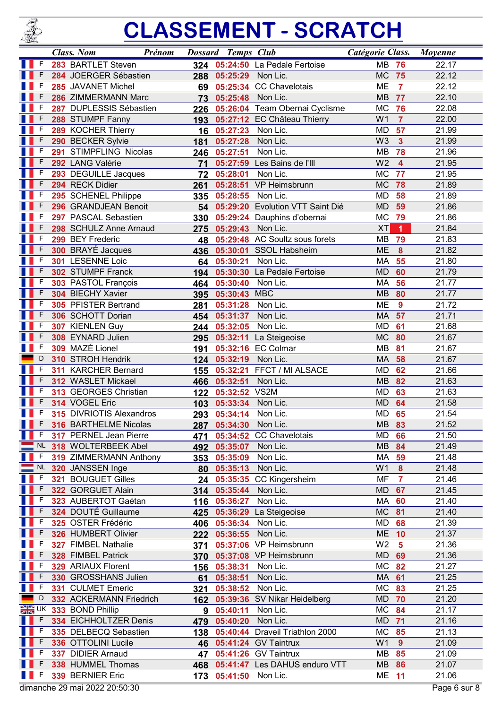

|                                                                                                                       |                         | <b>Class. Nom</b>                               | Prénom     | <b>Dossard Temps Club</b>     |                                   | Catégorie Class.       |                         | <b>Moyenne</b> |
|-----------------------------------------------------------------------------------------------------------------------|-------------------------|-------------------------------------------------|------------|-------------------------------|-----------------------------------|------------------------|-------------------------|----------------|
|                                                                                                                       | -F                      | 283 BARTLET Steven                              |            |                               | 324 05:24:50 La Pedale Fertoise   | <b>MB</b>              | 76                      | 22.17          |
|                                                                                                                       | F                       | 284 JOERGER Sébastien                           | 288        | 05:25:29                      | Non Lic.                          | <b>MC</b>              | 75                      | 22.12          |
|                                                                                                                       | F                       | 285 JAVANET Michel                              | 69         |                               | 05:25:34 CC Chavelotais           | <b>ME</b>              | $\overline{7}$          | 22.12          |
|                                                                                                                       | F                       | 286 ZIMMERMANN Marc                             | 73         | 05:25:48 Non Lic.             |                                   | <b>MB</b>              | 77                      | 22.10          |
|                                                                                                                       | F                       | 287 DUPLESSIS Sébastien                         | 226        |                               | 05:26:04 Team Obernai Cyclisme    | <b>MC</b>              | 76                      | 22.08          |
|                                                                                                                       | F                       | 288 STUMPF Fanny                                | 193        |                               | 05:27:12 EC Château Thierry       | W <sub>1</sub>         | $\overline{7}$          | 22.00          |
|                                                                                                                       | F                       | 289 KOCHER Thierry                              | 16         | 05:27:23                      | Non Lic.                          | <b>MD</b>              | 57                      | 21.99          |
|                                                                                                                       |                         | 290 BECKER Sylvie                               | 181        | 05:27:28                      | Non Lic.                          | W <sub>3</sub>         | $\overline{\mathbf{3}}$ | 21.99          |
|                                                                                                                       |                         | 291 STIMPFLING Nicolas                          | 246        | 05:27:51                      | Non Lic.                          | MB                     | 78                      | 21.96          |
|                                                                                                                       | F                       | 292 LANG Valérie                                | 71         |                               | 05:27:59 Les Bains de l'Ill       | W <sub>2</sub>         | $\overline{\mathbf{4}}$ | 21.95          |
|                                                                                                                       | F                       | 293 DEGUILLE Jacques                            | 72         | 05:28:01                      | Non Lic.                          | MC                     | 77                      | 21.95          |
|                                                                                                                       | F                       | 294 RECK Didier                                 | 261        |                               | 05:28:51 VP Heimsbrunn            | <b>MC</b>              | 78                      | 21.89          |
|                                                                                                                       | F                       | 295 SCHENEL Philippe                            | 335        | 05:28:55                      | Non Lic.                          | <b>MD</b>              | 58                      | 21.89          |
|                                                                                                                       |                         | 296 GRANDJEAN Benoit                            | 54         |                               | 05:29:20 Evolution VTT Saint Dié  | <b>MD</b>              | 59                      | 21.86          |
|                                                                                                                       | F                       | 297 PASCAL Sebastien                            | 330        |                               | 05:29:24 Dauphins d'obernai       | <b>MC</b>              | 79                      | 21.86          |
|                                                                                                                       | F                       | 298 SCHULZ Anne Arnaud                          | 275        | 05:29:43 Non Lic.             |                                   | <b>XT</b>              | $\overline{1}$          | 21.84          |
|                                                                                                                       | F                       | 299 BEY Frederic                                | 48         |                               | 05:29:48 AC Soultz sous forets    | MB                     | 79                      | 21.83          |
|                                                                                                                       | F                       | 300 BRAYÉ Jacques                               | 436        |                               | 05:30:01 SSOL Habsheim            | ME                     | $\boldsymbol{8}$        | 21.82          |
|                                                                                                                       | F                       | 301 LESENNE Loic                                | 64         | 05:30:21                      | Non Lic.                          | MA                     | 55                      | 21.80          |
|                                                                                                                       | F                       | 302 STUMPF Franck                               | 194        |                               | 05:30:30 La Pedale Fertoise       | <b>MD</b>              | 60                      | 21.79          |
|                                                                                                                       |                         | 303 PASTOL François                             | 464        | 05:30:40                      | Non Lic.                          | MA                     | 56                      | 21.77          |
|                                                                                                                       | F                       | 304 BIECHY Xavier                               | 395        | 05:30:43 MBC                  |                                   | <b>MB</b>              | 80                      | 21.77          |
|                                                                                                                       | F                       | 305 PFISTER Bertrand                            | 281        | 05:31:28                      | Non Lic.                          | <b>ME</b>              | $\overline{9}$          | 21.72          |
|                                                                                                                       | F                       | 306 SCHOTT Dorian                               | 454        | 05:31:37                      | Non Lic.                          | MA                     | 57                      | 21.71          |
|                                                                                                                       | F                       | 307 KIENLEN Guy                                 | 244        | 05:32:05                      | Non Lic.                          | <b>MD</b>              | 61                      | 21.68          |
|                                                                                                                       | F                       | 308 EYNARD Julien                               | 295        | 05:32:11                      | La Steigeoise                     | <b>MC</b>              | 80                      | 21.67          |
|                                                                                                                       | F                       | 309 MAZÉ Lionel                                 | 191        | 05:32:16                      | <b>EC Colmar</b>                  | <b>MB</b>              | 81                      | 21.67          |
|                                                                                                                       | D                       | 310 STROH Hendrik                               | 124        | 05:32:19                      | Non Lic.                          | MA                     | 58                      | 21.67          |
|                                                                                                                       | F<br>F                  | 311 KARCHER Bernard<br>312 WASLET Mickael       | 155        | 05:32:21                      | FFCT / MI ALSACE<br>Non Lic.      | <b>MD</b><br><b>MB</b> | 62                      | 21.66          |
|                                                                                                                       | F                       | 313 GEORGES Christian                           | 466        | 05:32:51<br>05:32:52 VS2M     |                                   |                        | 82<br>63                | 21.63<br>21.63 |
|                                                                                                                       | F                       | 314 VOGEL Eric                                  | 122        |                               | Non Lic.                          | <b>MD</b><br><b>MD</b> | 64                      | 21.58          |
|                                                                                                                       | F                       | 315 DIVRIOTIS Alexandros                        | 103        | 05:33:34<br>05:34:14 Non Lic. |                                   | MD                     | 65                      | 21.54          |
| <b>The Contract of the Contract of the Contract of the Contract of the Contract of the Contract of the Contract o</b> |                         |                                                 | 293        |                               |                                   |                        |                         |                |
| $\blacksquare$                                                                                                        | F                       | 316 BARTHELME Nicolas<br>317 PERNEL Jean Pierre | 287        | 05:34:30<br>05:34:52          | Non Lic.<br><b>CC Chavelotais</b> | MB 83<br>MD            | 66                      | 21.52<br>21.50 |
|                                                                                                                       | <b>NL</b>               | 318 WOLTERBEEK Abel                             | 471        | 05:35:07                      | Non Lic.                          | <b>MB</b>              | 84                      | 21.49          |
|                                                                                                                       | F                       | 319 ZIMMERMANN Anthony                          | 492<br>353 | 05:35:09                      | Non Lic.                          | МA                     | 59                      | 21.48          |
|                                                                                                                       | <b>NL</b>               | 320 JANSSEN Inge                                | 80         | 05:35:13                      | Non Lic.                          | W <sub>1</sub>         | $\boldsymbol{8}$        | 21.48          |
|                                                                                                                       | F                       | 321 BOUGUET Gilles                              | 24         | 05:35:35                      | <b>CC Kingersheim</b>             | <b>MF</b>              | $\overline{7}$          | 21.46          |
|                                                                                                                       |                         | 322 GORGUET Alain                               | 314        | 05:35:44                      | Non Lic.                          | <b>MD</b>              | 67                      | 21.45          |
|                                                                                                                       |                         | 323 AUBERTOT Gaétan                             | 116        | 05:36:27                      | Non Lic.                          | МA                     | 60                      | 21.40          |
|                                                                                                                       |                         | 324 DOUTÉ Guillaume                             | 425        | 05:36:29                      | La Steigeoise                     | <b>MC</b>              | 81                      | 21.40          |
|                                                                                                                       | F                       | 325 OSTER Frédéric                              | 406        | 05:36:34                      | Non Lic.                          | MD                     | 68                      | 21.39          |
|                                                                                                                       | F                       | 326 HUMBERT Olivier                             | 222        | 05:36:55                      | Non Lic.                          | <b>ME 10</b>           |                         | 21.37          |
|                                                                                                                       | F                       | 327 FIMBEL Nathalie                             | 371        |                               | 05:37:06 VP Heimsbrunn            | W <sub>2</sub>         | $5\phantom{a}$          | 21.36          |
|                                                                                                                       |                         | 328 FIMBEL Patrick                              | 370        |                               | 05:37:08 VP Heimsbrunn            | <b>MD</b>              | 69                      | 21.36          |
|                                                                                                                       | F                       | 329 ARIAUX Florent                              | 156        | 05:38:31                      | Non Lic.                          | МC                     | 82                      | 21.27          |
|                                                                                                                       |                         | 330 GROSSHANS Julien                            | 61         | 05:38:51                      | Non Lic.                          | MA                     | 61                      | 21.25          |
|                                                                                                                       | F                       | 331 CULMET Emeric                               | 321        | 05:38:52                      | Non Lic.                          | <b>MC</b>              | 83                      | 21.25          |
|                                                                                                                       | D                       | 332 ACKERMANN Friedrich                         | 162        |                               | 05:39:36 SV Nikar Heidelberg      | MD                     | 70                      | 21.20          |
|                                                                                                                       | $\frac{1}{\sqrt{2}}$ UK | 333 BOND Phillip                                | 9          | 05:40:11                      | Non Lic.                          | <b>MC</b>              | 84                      | 21.17          |
|                                                                                                                       | F                       | 334 EICHHOLTZER Denis                           | 479        | 05:40:20                      | Non Lic.                          | <b>MD</b>              | 71                      | 21.16          |
|                                                                                                                       |                         | 335 DELBECQ Sebastien                           | 138        |                               | 05:40:44 Draveil Triathlon 2000   | МC                     | 85                      | 21.13          |
|                                                                                                                       |                         | 336 OTTOLINI Lucile                             | 46         |                               | 05:41:24 GV Taintrux              | W <sub>1</sub>         | 9                       | 21.09          |
|                                                                                                                       | F                       | 337 DIDIER Arnaud                               | 47         |                               | 05:41:26 GV Taintrux              | МB                     | 85                      | 21.09          |
|                                                                                                                       | F                       | 338 HUMMEL Thomas                               | 468        |                               | 05:41:47 Les DAHUS enduro VTT     | <b>MB 86</b>           |                         | 21.07          |
|                                                                                                                       | F                       | 339 BERNIER Eric                                | 173        | 05:41:50 Non Lic.             |                                   | <b>ME 11</b>           |                         | 21.06          |
|                                                                                                                       |                         | dimanche 29 mai 2022 20:50:30                   |            |                               |                                   |                        |                         | Page 6 sur 8   |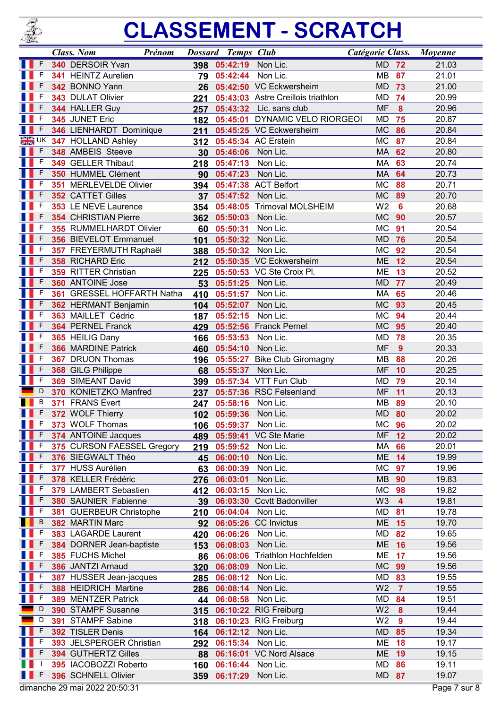

|     |        | <b>Class. Nom</b>                      | Prénom |                 | <b>Dossard Temps Club</b> |                                    | Catégorie Class.       |                  | <b>Moyenne</b> |
|-----|--------|----------------------------------------|--------|-----------------|---------------------------|------------------------------------|------------------------|------------------|----------------|
|     | F      | 340 DERSOIR Yvan                       |        | 398             | 05:42:19                  | Non Lic.                           | <b>MD</b>              | 72               | 21.03          |
|     | F      | 341 HEINTZ Aurelien                    |        | 79              | 05:42:44                  | Non Lic.                           | <b>MB</b>              | 87               | 21.01          |
|     |        | 342 BONNO Yann                         |        | 26              |                           | 05:42:50 VC Eckwersheim            | <b>MD</b>              | 73               | 21.00          |
|     | F      | 343 DULAT Olivier                      |        | 221             |                           | 05:43:03 Astre Creillois triathlon | <b>MD</b>              | 74               | 20.99          |
|     | F      | 344 HALLER Guy                         |        | 257             |                           | 05:43:32 Lic. sans club            | <b>MF</b>              | $\boldsymbol{8}$ | 20.96          |
|     | F      | 345 JUNET Eric                         |        | 182             |                           | 05:45:01 DYNAMIC VELO RIORGEOI     | <b>MD</b>              | 75               | 20.87          |
|     | F      | 346 LIENHARDT Dominique                |        | 211             |                           | 05:45:25 VC Eckwersheim            | <b>MC</b>              | 86               | 20.84          |
| XK  | UK     | 347 HOLLAND Ashley                     |        | 312             |                           | 05:45:34 AC Erstein                | <b>MC</b>              | 87               | 20.84          |
|     | F      | 348 AMBEIS Steeve                      |        | 30              | 05:46:06                  | Non Lic.                           | <b>MA</b>              | 62               | 20.80          |
|     | F      | 349 GELLER Thibaut                     |        | 218             | 05:47:13 Non Lic.         |                                    | <b>MA</b>              | 63               | 20.74          |
|     | F      | 350 HUMMEL Clément                     |        | 90 <sub>o</sub> | 05:47:23 Non Lic.         |                                    | MA                     | 64               | 20.73          |
|     | F      | 351 MERLEVELDE Olivier                 |        | 394             |                           | 05:47:38 ACT Belfort               | MC                     | 88               | 20.71          |
|     | F      | 352 CATTET Gilles                      |        | 37              | 05:47:52                  | Non Lic.                           | <b>MC</b>              | 89               | 20.70          |
|     | F      | 353 LE NEVE Laurence                   |        | 354             |                           | 05:48:05 Trimoval MOLSHEIM         | W <sub>2</sub>         | $6\phantom{a}$   | 20.68          |
|     | F      | 354 CHRISTIAN Pierre                   |        | 362             | 05:50:03                  | Non Lic.                           | <b>MC</b>              | 90               | 20.57          |
|     | F      | 355 RUMMELHARDT Olivier                |        | 60              | 05:50:31                  | Non Lic.                           | <b>MC</b>              | 91               | 20.54          |
|     | F      | 356 BIEVELOT Emmanuel                  |        | 101             | 05:50:32                  | Non Lic.                           | <b>MD</b>              | 76               | 20.54          |
|     | F      | 357 FREYERMUTH Raphaël                 |        | 388             | 05:50:32                  | Non Lic.                           | <b>MC</b>              | 92               | 20.54          |
|     | F      | 358 RICHARD Eric                       |        | 212             |                           | 05:50:35 VC Eckwersheim            | <b>ME</b>              | 12               | 20.54          |
|     | F      | 359 RITTER Christian                   |        | 225             |                           | 05:50:53 VC Ste Croix Pl.          | <b>ME</b>              | 13               | 20.52          |
|     |        | 360 ANTOINE Jose                       |        | 53              | 05:51:25                  | Non Lic.                           | <b>MD</b>              | 77               | 20.49          |
|     | F      | 361 GRESSEL HOFFARTH Natha             |        | 410             | 05:51:57 Non Lic.         |                                    | MA                     | 65               | 20.46          |
|     |        | 362 HERMANT Benjamin                   |        | 104             | 05:52:07                  | Non Lic.                           | <b>MC</b>              | 93               | 20.45          |
|     | F      | 363 MAILLET Cédric                     |        | 187             | 05:52:15                  | Non Lic.                           | <b>MC</b>              | 94               | 20.44          |
|     | F      | 364 PERNEL Franck                      |        | 429             |                           | 05:52:56 Franck Pernel             | <b>MC</b>              | 95               | 20.40          |
|     | F      | 365 HEILIG Dany                        |        | 166             | 05:53:53                  | Non Lic.                           | <b>MD</b>              | 78               | 20.35          |
|     | F      | 366 MARDINE Patrick                    |        | 460             | 05:54:10                  | Non Lic.                           | <b>MF</b>              | $\overline{9}$   | 20.33          |
|     | F      | 367 DRUON Thomas                       |        | 196             | 05:55:27                  | <b>Bike Club Giromagny</b>         | MB                     | 88               | 20.26          |
|     | F<br>F | 368 GILG Philippe<br>369 SIMEANT David |        | 68              | 05:55:37                  | Non Lic.<br>05:57:34 VTT Fun Club  | <b>MF</b>              | 10               | 20.25<br>20.14 |
|     | D      | 370 KONIETZKO Manfred                  |        | 399             |                           | 05:57:36 RSC Felsenland            | <b>MD</b><br><b>MF</b> | 79<br>11         | 20.13          |
|     | B      | 371 FRANS Evert                        |        | 237             |                           | Non Lic.                           | <b>MB</b>              |                  | 20.10          |
|     | F      | 372 WOLF Thierry                       |        | 247             | 05:58:16                  | Non Lic.                           | <b>MD</b>              | 89<br>80         | 20.02          |
|     | -F     |                                        |        | 102             | 05:59:36                  |                                    |                        |                  | 20.02          |
| n B | F      | 373 WOLF Thomas<br>374 ANTOINE Jacques |        | 106<br>489      | 05:59:37<br>05:59:41      | Non Lic.<br>VC Ste Marie           | МC<br><b>MF</b>        | 96<br>12         | 20.02          |
|     | F      | 375 CURSON FAESSEL Gregory             |        |                 | 05:59:52                  | Non Lic.                           | MA                     | 66               | 20.01          |
|     | F      | 376 SIEGWALT Théo                      |        | 219             | 06:00:10                  | Non Lic.                           | <b>ME</b>              | 14               | 19.99          |
|     | F      | 377 HUSS Aurélien                      |        | 45<br>63        | 06:00:39                  | Non Lic.                           | <b>MC</b>              | 97               | 19.96          |
|     | F      | 378 KELLER Frédéric                    |        | 276             | 06:03:01                  | Non Lic.                           | <b>MB</b>              | 90               | 19.83          |
|     | F      | 379 LAMBERT Sebastien                  |        | 412             | 06:03:15                  | Non Lic.                           | MC                     | 98               | 19.82          |
|     | F      | 380 SAUNIER Fabienne                   |        | 39              | 06:03:30                  | <b>Ccvtt Badonviller</b>           | W <sub>3</sub>         | $\boldsymbol{4}$ | 19.81          |
|     | F      | 381 GUERBEUR Christophe                |        | 210             | 06:04:04                  | Non Lic.                           | MD                     | 81               | 19.78          |
|     | B      | 382 MARTIN Marc                        |        | 92              | 06:05:26                  | <b>CC</b> Invictus                 | <b>ME</b>              | 15               | 19.70          |
|     | F      | 383 LAGARDE Laurent                    |        | 420             | 06:06:26                  | Non Lic.                           | MD                     | 82               | 19.65          |
|     | F      | 384 DORNER Jean-baptiste               |        | 153             | 06:08:03                  | Non Lic.                           | <b>ME</b>              | 16               | 19.56          |
|     |        | 385 FUCHS Michel                       |        | 86              | 06:08:06                  | <b>Triathlon Hochfelden</b>        | ME                     | 17               | 19.56          |
|     |        | 386 JANTZI Arnaud                      |        | 320             | 06:08:09                  | Non Lic.                           | <b>MC</b>              | 99               | 19.56          |
|     |        | 387 HUSSER Jean-jacques                |        | 285             | 06:08:12                  | Non Lic.                           | MD                     | 83               | 19.55          |
|     | F      | 388 HEIDRICH Martine                   |        | 286             | 06:08:14                  | Non Lic.                           | W <sub>2</sub>         | $\overline{7}$   | 19.55          |
|     | F      | 389 MENTZER Patrick                    |        | 44              | 06:08:58                  | Non Lic.                           | MD                     | 84               | 19.51          |
|     | D      | 390 STAMPF Susanne                     |        | 315             |                           | 06:10:22 RIG Freiburg              | W <sub>2</sub>         | $\boldsymbol{8}$ | 19.44          |
|     | D      | 391 STAMPF Sabine                      |        | 318             | 06:10:23                  | <b>RIG Freiburg</b>                | W <sub>2</sub>         | 9                | 19.44          |
|     | F      | 392 TISLER Denis                       |        | 164             | 06:12:12                  | Non Lic.                           | MD                     | 85               | 19.34          |
|     | F      | 393 JELSPERGER Christian               |        | 292             | 06:15:34                  | Non Lic.                           | ME                     | 18               | 19.17          |
|     | F      | 394 GUTHERTZ Gilles                    |        | 88              |                           | 06:16:01 VC Nord Alsace            | <b>ME</b>              | 19               | 19.15          |
|     |        | 395 IACOBOZZI Roberto                  |        | 160             | 06:16:44                  | Non Lic.                           | MD                     | 86               | 19.11          |
|     | F      | 396 SCHNELL Olivier                    |        | 359             | 06:17:29                  | Non Lic.                           | <b>MD 87</b>           |                  | 19.07          |
|     |        | dimanche 29 mai 2022 20:50:31          |        |                 |                           |                                    |                        |                  | Page 7 sur 8   |